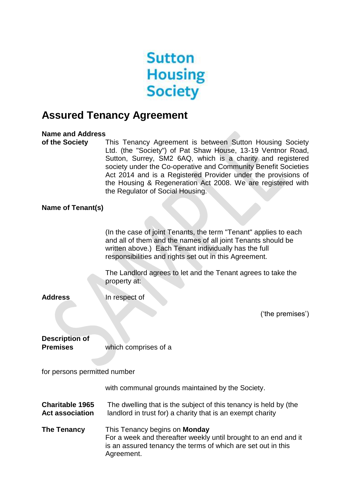

# **Assured Tenancy Agreement**

### **Name and Address**

**of the Society** This Tenancy Agreement is between Sutton Housing Society Ltd. (the "Society") of Pat Shaw House, 13-19 Ventnor Road, Sutton, Surrey, SM2 6AQ, which is a charity and registered society under the Co-operative and Community Benefit Societies Act 2014 and is a Registered Provider under the provisions of the Housing & Regeneration Act 2008. We are registered with the Regulator of Social Housing.

### **Name of Tenant(s)**

(In the case of joint Tenants, the term "Tenant" applies to each and all of them and the names of all joint Tenants should be written above.) Each Tenant individually has the full responsibilities and rights set out in this Agreement.

The Landlord agrees to let and the Tenant agrees to take the property at:

**Address In respect of** 

('the premises')

| <b>Description of</b> |                      |
|-----------------------|----------------------|
| <b>Premises</b>       | which comprises of a |

for persons permitted number

with communal grounds maintained by the Society.

**Charitable 1965** The dwelling that is the subject of this tenancy is held by (the **Act association** landlord in trust for) a charity that is an exempt charity

**The Tenancy** This Tenancy begins on **Monday**  For a week and thereafter weekly until brought to an end and it is an assured tenancy the terms of which are set out in this Agreement.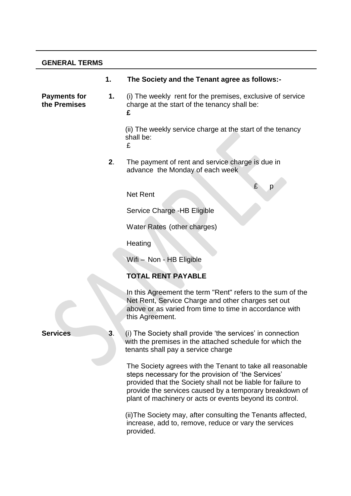# **GENERAL TERMS**

|                              | 1. | The Society and the Tenant agree as follows:-                                                                                                                                                                                                                                                           |
|------------------------------|----|---------------------------------------------------------------------------------------------------------------------------------------------------------------------------------------------------------------------------------------------------------------------------------------------------------|
| Payments for<br>the Premises | 1. | (i) The weekly rent for the premises, exclusive of service<br>charge at the start of the tenancy shall be:<br>£                                                                                                                                                                                         |
|                              |    | (ii) The weekly service charge at the start of the tenancy<br>shall be:<br>£                                                                                                                                                                                                                            |
|                              | 2. | The payment of rent and service charge is due in<br>advance the Monday of each week                                                                                                                                                                                                                     |
|                              |    | £<br>p<br><b>Net Rent</b>                                                                                                                                                                                                                                                                               |
|                              |    | Service Charge - HB Eligible                                                                                                                                                                                                                                                                            |
|                              |    | Water Rates (other charges)                                                                                                                                                                                                                                                                             |
|                              |    | Heating                                                                                                                                                                                                                                                                                                 |
|                              |    | Wifi - Non - HB Eligible                                                                                                                                                                                                                                                                                |
|                              |    | <b>TOTAL RENT PAYABLE</b>                                                                                                                                                                                                                                                                               |
|                              |    | In this Agreement the term "Rent" refers to the sum of the<br>Net Rent, Service Charge and other charges set out<br>above or as varied from time to time in accordance with<br>this Agreement.                                                                                                          |
| <b>Services</b>              | 3. | (i) The Society shall provide 'the services' in connection<br>with the premises in the attached schedule for which the<br>tenants shall pay a service charge                                                                                                                                            |
|                              |    | The Society agrees with the Tenant to take all reasonable<br>steps necessary for the provision of 'the Services'<br>provided that the Society shall not be liable for failure to<br>provide the services caused by a temporary breakdown of<br>plant of machinery or acts or events beyond its control. |
|                              |    | (ii) The Society may, after consulting the Tenants affected,<br>increase, add to, remove, reduce or vary the services<br>provided.                                                                                                                                                                      |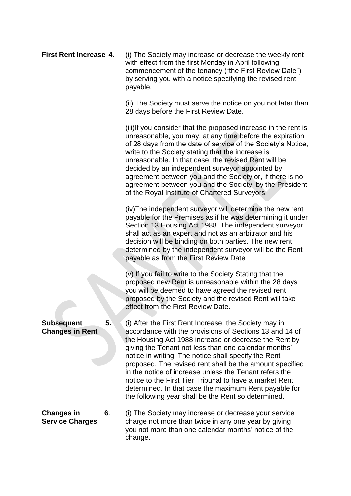**First Rent Increase 4**. (i) The Society may increase or decrease the weekly rent with effect from the first Monday in April following commencement of the tenancy ("the First Review Date") by serving you with a notice specifying the revised rent payable.

> (ii) The Society must serve the notice on you not later than 28 days before the First Review Date.

> (iii)If you consider that the proposed increase in the rent is unreasonable, you may, at any time before the expiration of 28 days from the date of service of the Society's Notice, write to the Society stating that the increase is unreasonable. In that case, the revised Rent will be decided by an independent surveyor appointed by agreement between you and the Society or, if there is no agreement between you and the Society, by the President of the Royal Institute of Chartered Surveyors.

> (iv)The independent surveyor will determine the new rent payable for the Premises as if he was determining it under Section 13 Housing Act 1988. The independent surveyor shall act as an expert and not as an arbitrator and his decision will be binding on both parties. The new rent determined by the independent surveyor will be the Rent payable as from the First Review Date

(v) If you fail to write to the Society Stating that the proposed new Rent is unreasonable within the 28 days you will be deemed to have agreed the revised rent proposed by the Society and the revised Rent will take effect from the First Review Date.

**Subsequent 5.** (i) After the First Rent Increase, the Society may in **Changes in Rent** accordance with the provisions of Sections 13 and 14 of the Housing Act 1988 increase or decrease the Rent by giving the Tenant not less than one calendar months' notice in writing. The notice shall specify the Rent proposed. The revised rent shall be the amount specified in the notice of increase unless the Tenant refers the notice to the First Tier Tribunal to have a market Rent determined. In that case the maximum Rent payable for the following year shall be the Rent so determined.

**Changes in 6.** (i) The Society may increase or decrease your service **Service Charges** charge not more than twice in any one year by giving you not more than one calendar months' notice of the change.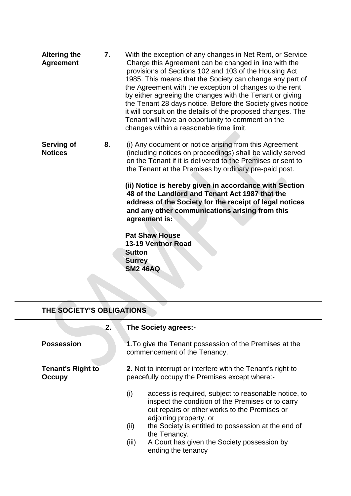- **Altering the 7.** With the exception of any changes in Net Rent, or Service **Agreement** Charge this Agreement can be changed in line with the provisions of Sections 102 and 103 of the Housing Act 1985. This means that the Society can change any part of the Agreement with the exception of changes to the rent by either agreeing the changes with the Tenant or giving the Tenant 28 days notice. Before the Society gives notice it will consult on the details of the proposed changes. The Tenant will have an opportunity to comment on the changes within a reasonable time limit.
- **Serving of 8.** (i) Any document or notice arising from this Agreement **Notices** (including notices on proceedings) shall be validly served on the Tenant if it is delivered to the Premises or sent to the Tenant at the Premises by ordinary pre-paid post.

**(ii) Notice is hereby given in accordance with Section 48 of the Landlord and Tenant Act 1987 that the address of the Society for the receipt of legal notices and any other communications arising from this agreement is:**

**Pat Shaw House 13-19 Ventnor Road Sutton Surrey SM2 46AQ** 

# **THE SOCIETY'S OBLIGATIONS**

| 2.                                 | The Society agrees:-                                                                                                                                                                        |
|------------------------------------|---------------------------------------------------------------------------------------------------------------------------------------------------------------------------------------------|
| <b>Possession</b>                  | 1. To give the Tenant possession of the Premises at the<br>commencement of the Tenancy.                                                                                                     |
| <b>Tenant's Right to</b><br>Occupy | 2. Not to interrupt or interfere with the Tenant's right to<br>peacefully occupy the Premises except where:-                                                                                |
|                                    | access is required, subject to reasonable notice, to<br>(i)<br>inspect the condition of the Premises or to carry<br>out repairs or other works to the Premises or<br>adjoining property, or |
|                                    | the Society is entitled to possession at the end of<br>(ii)<br>the Tenancy.                                                                                                                 |
|                                    | A Court has given the Society possession by<br>(iii)<br>ending the tenancy                                                                                                                  |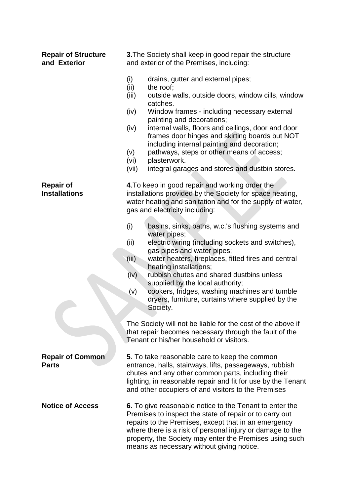| and Exterior                             | and exterior of the Premises, including:                                                                                                                                                                                                                                                                                                                                                                                                                                                                                              |
|------------------------------------------|---------------------------------------------------------------------------------------------------------------------------------------------------------------------------------------------------------------------------------------------------------------------------------------------------------------------------------------------------------------------------------------------------------------------------------------------------------------------------------------------------------------------------------------|
|                                          | (i)<br>drains, gutter and external pipes;<br>(ii)<br>the roof;<br>outside walls, outside doors, window cills, window<br>(iii)<br>catches.<br>(iv)<br>Window frames - including necessary external<br>painting and decorations;<br>internal walls, floors and ceilings, door and door<br>(iv)<br>frames door hinges and skirting boards but NOT<br>including internal painting and decoration;<br>pathways, steps or other means of access;<br>(v)<br>plasterwork.<br>(vi)<br>integral garages and stores and dustbin stores.<br>(vii) |
| <b>Repair of</b><br><b>Installations</b> | 4. To keep in good repair and working order the<br>installations provided by the Society for space heating,<br>water heating and sanitation and for the supply of water,<br>gas and electricity including:                                                                                                                                                                                                                                                                                                                            |
|                                          | (i)<br>basins, sinks, baths, w.c.'s flushing systems and<br>water pipes;<br>electric wiring (including sockets and switches),<br>(ii)<br>gas pipes and water pipes;<br>(iii)<br>water heaters, fireplaces, fitted fires and central<br>heating installations;<br>(iv)<br>rubbish chutes and shared dustbins unless<br>supplied by the local authority;<br>cookers, fridges, washing machines and tumble<br>(v)<br>dryers, furniture, curtains where supplied by the<br>Society.                                                       |
|                                          | The Society will not be liable for the cost of the above if<br>that repair becomes necessary through the fault of the<br>Tenant or his/her household or visitors.                                                                                                                                                                                                                                                                                                                                                                     |
| <b>Repair of Common</b><br><b>Parts</b>  | 5. To take reasonable care to keep the common<br>entrance, halls, stairways, lifts, passageways, rubbish<br>chutes and any other common parts, including their<br>lighting, in reasonable repair and fit for use by the Tenant<br>and other occupiers of and visitors to the Premises                                                                                                                                                                                                                                                 |
| <b>Notice of Access</b>                  | 6. To give reasonable notice to the Tenant to enter the<br>Premises to inspect the state of repair or to carry out<br>repairs to the Premises, except that in an emergency<br>where there is a risk of personal injury or damage to the<br>property, the Society may enter the Premises using such<br>means as necessary without giving notice.                                                                                                                                                                                       |

**Repair of Structure 3**.The Society shall keep in good repair the structure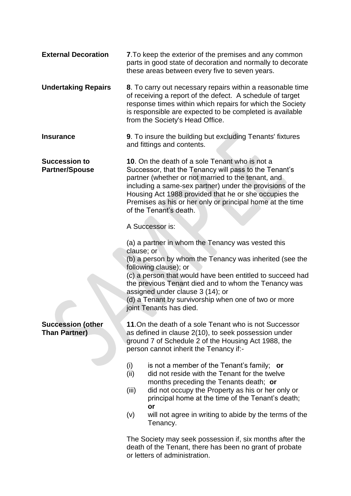| <b>External Decoration</b>                       | 7. To keep the exterior of the premises and any common<br>parts in good state of decoration and normally to decorate<br>these areas between every five to seven years.                                                                                                                                                                                                                          |
|--------------------------------------------------|-------------------------------------------------------------------------------------------------------------------------------------------------------------------------------------------------------------------------------------------------------------------------------------------------------------------------------------------------------------------------------------------------|
| <b>Undertaking Repairs</b>                       | 8. To carry out necessary repairs within a reasonable time<br>of receiving a report of the defect. A schedule of target<br>response times within which repairs for which the Society<br>is responsible are expected to be completed is available<br>from the Society's Head Office.                                                                                                             |
| <b>Insurance</b>                                 | 9. To insure the building but excluding Tenants' fixtures<br>and fittings and contents.                                                                                                                                                                                                                                                                                                         |
| <b>Succession to</b><br><b>Partner/Spouse</b>    | 10. On the death of a sole Tenant who is not a<br>Successor, that the Tenancy will pass to the Tenant's<br>partner (whether or not married to the tenant, and<br>including a same-sex partner) under the provisions of the<br>Housing Act 1988 provided that he or she occupies the<br>Premises as his or her only or principal home at the time<br>of the Tenant's death.                      |
|                                                  | A Successor is:                                                                                                                                                                                                                                                                                                                                                                                 |
|                                                  | (a) a partner in whom the Tenancy was vested this<br>clause; or<br>(b) a person by whom the Tenancy was inherited (see the<br>following clause); or<br>(c) a person that would have been entitled to succeed had<br>the previous Tenant died and to whom the Tenancy was<br>assigned under clause 3 (14); or<br>(d) a Tenant by survivorship when one of two or more<br>joint Tenants has died. |
| <b>Succession (other</b><br><b>Than Partner)</b> | 11. On the death of a sole Tenant who is not Successor<br>as defined in clause 2(10), to seek possession under<br>ground 7 of Schedule 2 of the Housing Act 1988, the<br>person cannot inherit the Tenancy if:-                                                                                                                                                                                 |
|                                                  | (i)<br>is not a member of the Tenant's family; or<br>(ii)<br>did not reside with the Tenant for the twelve<br>months preceding the Tenants death; or<br>(iii)<br>did not occupy the Property as his or her only or<br>principal home at the time of the Tenant's death;<br>or<br>(v)<br>will not agree in writing to abide by the terms of the                                                  |
|                                                  | Tenancy.                                                                                                                                                                                                                                                                                                                                                                                        |
|                                                  | The Society may seek possession if, six months after the<br>death of the Tenant, there has been no grant of probate<br>or letters of administration.                                                                                                                                                                                                                                            |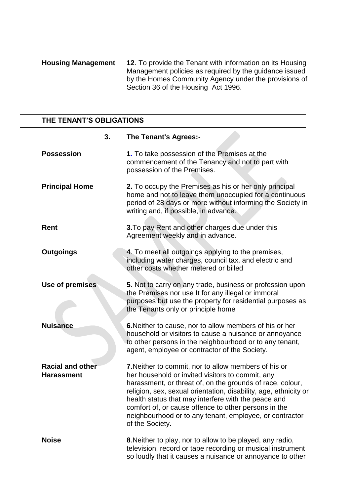**Housing Management 12**. To provide the Tenant with information on its Housing Management policies as required by the guidance issued by the Homes Community Agency under the provisions of Section 36 of the Housing Act 1996.

### **THE TENANT'S OBLIGATIONS**

|                                              | 3. | <b>The Tenant's Agrees:-</b>                                                                                                                                                                                                                                                                                                                                                                                                           |
|----------------------------------------------|----|----------------------------------------------------------------------------------------------------------------------------------------------------------------------------------------------------------------------------------------------------------------------------------------------------------------------------------------------------------------------------------------------------------------------------------------|
| <b>Possession</b>                            |    | 1. To take possession of the Premises at the<br>commencement of the Tenancy and not to part with<br>possession of the Premises.                                                                                                                                                                                                                                                                                                        |
| <b>Principal Home</b>                        |    | 2. To occupy the Premises as his or her only principal<br>home and not to leave them unoccupied for a continuous<br>period of 28 days or more without informing the Society in<br>writing and, if possible, in advance.                                                                                                                                                                                                                |
| <b>Rent</b>                                  |    | 3. To pay Rent and other charges due under this<br>Agreement weekly and in advance.                                                                                                                                                                                                                                                                                                                                                    |
| <b>Outgoings</b>                             |    | 4. To meet all outgoings applying to the premises,<br>including water charges, council tax, and electric and<br>other costs whether metered or billed                                                                                                                                                                                                                                                                                  |
| Use of premises                              |    | 5. Not to carry on any trade, business or profession upon<br>the Premises nor use It for any illegal or immoral<br>purposes but use the property for residential purposes as<br>the Tenants only or principle home                                                                                                                                                                                                                     |
| <b>Nuisance</b>                              |    | 6. Neither to cause, nor to allow members of his or her<br>household or visitors to cause a nuisance or annoyance<br>to other persons in the neighbourhood or to any tenant,<br>agent, employee or contractor of the Society.                                                                                                                                                                                                          |
| <b>Racial and other</b><br><b>Harassment</b> |    | 7. Neither to commit, nor to allow members of his or<br>her household or invited visitors to commit, any<br>harassment, or threat of, on the grounds of race, colour,<br>religion, sex, sexual orientation, disability, age, ethnicity or<br>health status that may interfere with the peace and<br>comfort of, or cause offence to other persons in the<br>neighbourhood or to any tenant, employee, or contractor<br>of the Society. |
| <b>Noise</b>                                 |    | 8. Neither to play, nor to allow to be played, any radio,<br>television, record or tape recording or musical instrument<br>so loudly that it causes a nuisance or annoyance to other                                                                                                                                                                                                                                                   |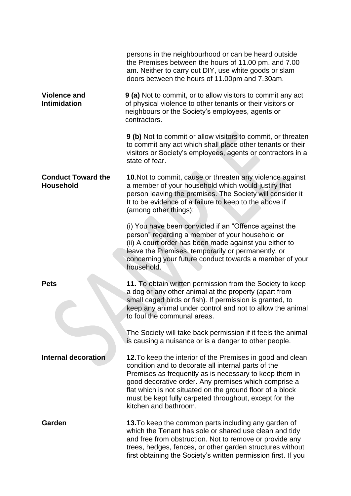|                                               | persons in the neighbourhood or can be heard outside<br>the Premises between the hours of 11.00 pm. and 7.00<br>am. Neither to carry out DIY, use white goods or slam<br>doors between the hours of 11.00pm and 7.30am.                                                                                                                                                             |
|-----------------------------------------------|-------------------------------------------------------------------------------------------------------------------------------------------------------------------------------------------------------------------------------------------------------------------------------------------------------------------------------------------------------------------------------------|
| <b>Violence and</b><br><b>Intimidation</b>    | <b>9 (a)</b> Not to commit, or to allow visitors to commit any act<br>of physical violence to other tenants or their visitors or<br>neighbours or the Society's employees, agents or<br>contractors.                                                                                                                                                                                |
|                                               | 9 (b) Not to commit or allow visitors to commit, or threaten<br>to commit any act which shall place other tenants or their<br>visitors or Society's employees, agents or contractors in a<br>state of fear.                                                                                                                                                                         |
| <b>Conduct Toward the</b><br><b>Household</b> | 10. Not to commit, cause or threaten any violence against<br>a member of your household which would justify that<br>person leaving the premises. The Society will consider it<br>It to be evidence of a failure to keep to the above if<br>(among other things):                                                                                                                    |
|                                               | (i) You have been convicted if an "Offence against the<br>person" regarding a member of your household or<br>(ii) A court order has been made against you either to<br>leave the Premises, temporarily or permanently, or<br>concerning your future conduct towards a member of your<br>household.                                                                                  |
| <b>Pets</b>                                   | 11. To obtain written permission from the Society to keep<br>a dog or any other animal at the property (apart from<br>small caged birds or fish). If permission is granted, to<br>keep any animal under control and not to allow the animal<br>to foul the communal areas.                                                                                                          |
|                                               | The Society will take back permission if it feels the animal<br>is causing a nuisance or is a danger to other people.                                                                                                                                                                                                                                                               |
| Internal decoration                           | 12. To keep the interior of the Premises in good and clean<br>condition and to decorate all internal parts of the<br>Premises as frequently as is necessary to keep them in<br>good decorative order. Any premises which comprise a<br>flat which is not situated on the ground floor of a block<br>must be kept fully carpeted throughout, except for the<br>kitchen and bathroom. |
| Garden                                        | 13. To keep the common parts including any garden of<br>which the Tenant has sole or shared use clean and tidy<br>and free from obstruction. Not to remove or provide any<br>trees, hedges, fences, or other garden structures without<br>first obtaining the Society's written permission first. If you                                                                            |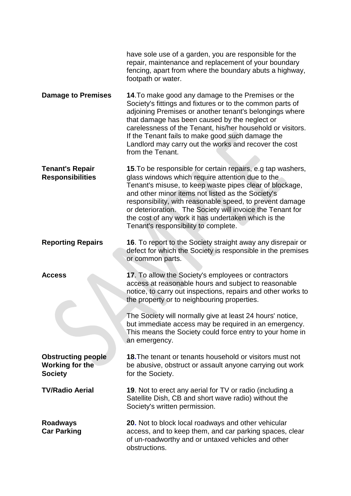|                                                                       | have sole use of a garden, you are responsible for the<br>repair, maintenance and replacement of your boundary<br>fencing, apart from where the boundary abuts a highway,<br>footpath or water.                                                                                                                                                                                                                                                         |
|-----------------------------------------------------------------------|---------------------------------------------------------------------------------------------------------------------------------------------------------------------------------------------------------------------------------------------------------------------------------------------------------------------------------------------------------------------------------------------------------------------------------------------------------|
| <b>Damage to Premises</b>                                             | 14. To make good any damage to the Premises or the<br>Society's fittings and fixtures or to the common parts of<br>adjoining Premises or another tenant's belongings where<br>that damage has been caused by the neglect or<br>carelessness of the Tenant, his/her household or visitors.<br>If the Tenant fails to make good such damage the<br>Landlord may carry out the works and recover the cost<br>from the Tenant.                              |
| <b>Tenant's Repair</b><br><b>Responsibilities</b>                     | 15. To be responsible for certain repairs, e.g tap washers,<br>glass windows which require attention due to the<br>Tenant's misuse, to keep waste pipes clear of blockage,<br>and other minor items not listed as the Society's<br>responsibility, with reasonable speed, to prevent damage<br>or deterioration. The Society will invoice the Tenant for<br>the cost of any work it has undertaken which is the<br>Tenant's responsibility to complete. |
| <b>Reporting Repairs</b>                                              | 16. To report to the Society straight away any disrepair or<br>defect for which the Society is responsible in the premises<br>or common parts.                                                                                                                                                                                                                                                                                                          |
| <b>Access</b>                                                         | 17. To allow the Society's employees or contractors<br>access at reasonable hours and subject to reasonable<br>notice, to carry out inspections, repairs and other works to<br>the property or to neighbouring properties.                                                                                                                                                                                                                              |
|                                                                       | The Society will normally give at least 24 hours' notice,<br>but immediate access may be required in an emergency.<br>This means the Society could force entry to your home in<br>an emergency.                                                                                                                                                                                                                                                         |
| <b>Obstructing people</b><br><b>Working for the</b><br><b>Society</b> | <b>18. The tenant or tenants household or visitors must not</b><br>be abusive, obstruct or assault anyone carrying out work<br>for the Society.                                                                                                                                                                                                                                                                                                         |
| <b>TV/Radio Aerial</b>                                                | 19. Not to erect any aerial for TV or radio (including a<br>Satellite Dish, CB and short wave radio) without the<br>Society's written permission.                                                                                                                                                                                                                                                                                                       |
| <b>Roadways</b><br><b>Car Parking</b>                                 | <b>20.</b> Not to block local roadways and other vehicular<br>access, and to keep them, and car parking spaces, clear<br>of un-roadworthy and or untaxed vehicles and other<br>obstructions.                                                                                                                                                                                                                                                            |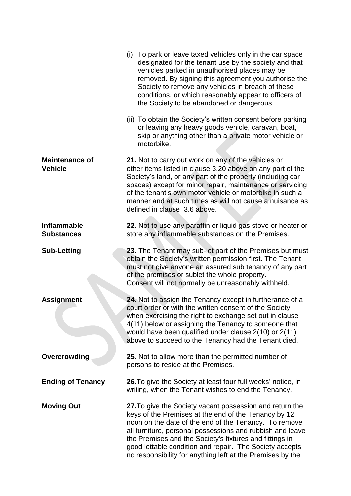|                                         | (i) To park or leave taxed vehicles only in the car space<br>designated for the tenant use by the society and that<br>vehicles parked in unauthorised places may be<br>removed. By signing this agreement you authorise the<br>Society to remove any vehicles in breach of these<br>conditions, or which reasonably appear to officers of<br>the Society to be abandoned or dangerous                                      |
|-----------------------------------------|----------------------------------------------------------------------------------------------------------------------------------------------------------------------------------------------------------------------------------------------------------------------------------------------------------------------------------------------------------------------------------------------------------------------------|
|                                         | (ii) To obtain the Society's written consent before parking<br>or leaving any heavy goods vehicle, caravan, boat,<br>skip or anything other than a private motor vehicle or<br>motorbike.                                                                                                                                                                                                                                  |
| <b>Maintenance of</b><br><b>Vehicle</b> | 21. Not to carry out work on any of the vehicles or<br>other items listed in clause 3.20 above on any part of the<br>Society's land, or any part of the property (including car<br>spaces) except for minor repair, maintenance or servicing<br>of the tenant's own motor vehicle or motorbike in such a<br>manner and at such times as will not cause a nuisance as<br>defined in clause 3.6 above.                       |
| <b>Inflammable</b><br><b>Substances</b> | 22. Not to use any paraffin or liquid gas stove or heater or<br>store any inflammable substances on the Premises.                                                                                                                                                                                                                                                                                                          |
| <b>Sub-Letting</b>                      | 23. The Tenant may sub-let part of the Premises but must<br>obtain the Society's written permission first. The Tenant<br>must not give anyone an assured sub tenancy of any part<br>of the premises or sublet the whole property.<br>Consent will not normally be unreasonably withheld.                                                                                                                                   |
| <b>Assignment</b>                       | 24. Not to assign the Tenancy except in furtherance of a<br>court order or with the written consent of the Society<br>when exercising the right to exchange set out in clause<br>4(11) below or assigning the Tenancy to someone that<br>would have been qualified under clause 2(10) or 2(11)<br>above to succeed to the Tenancy had the Tenant died.                                                                     |
| Overcrowding                            | 25. Not to allow more than the permitted number of<br>persons to reside at the Premises.                                                                                                                                                                                                                                                                                                                                   |
| <b>Ending of Tenancy</b>                | 26. To give the Society at least four full weeks' notice, in<br>writing, when the Tenant wishes to end the Tenancy.                                                                                                                                                                                                                                                                                                        |
| <b>Moving Out</b>                       | 27. To give the Society vacant possession and return the<br>keys of the Premises at the end of the Tenancy by 12<br>noon on the date of the end of the Tenancy. To remove<br>all furniture, personal possessions and rubbish and leave<br>the Premises and the Society's fixtures and fittings in<br>good lettable condition and repair. The Society accepts<br>no responsibility for anything left at the Premises by the |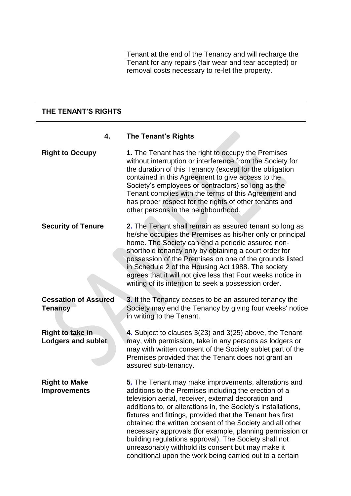Tenant at the end of the Tenancy and will recharge the Tenant for any repairs (fair wear and tear accepted) or removal costs necessary to re-let the property.

#### **THE TENANT'S RIGHTS**

#### **4. The Tenant's Rights**

**Right to Occupy 1.** The Tenant has the right to occupy the Premises without interruption or interference from the Society for the duration of this Tenancy (except for the obligation contained in this Agreement to give access to the Society's employees or contractors) so long as the Tenant complies with the terms of this Agreement and has proper respect for the rights of other tenants and other persons in the neighbourhood. **Security of Tenure 2.** The Tenant shall remain as assured tenant so long as he/she occupies the Premises as his/her only or principal home. The Society can end a periodic assured nonshorthold tenancy only by obtaining a court order for possession of the Premises on one of the grounds listed in Schedule 2 of the Housing Act 1988. The society agrees that it will not give less that Four weeks notice in writing of its intention to seek a possession order. **Cessation of Assured 3.** If the Tenancy ceases to be an assured tenancy the **Tenancy** Society may end the Tenancy by giving four weeks' notice in writing to the Tenant. **Right to take in 4.** Subject to clauses 3(23) and 3(25) above, the Tenant **Lodgers and sublet** may, with permission, take in any persons as lodgers or may with written consent of the Society sublet part of the Premises provided that the Tenant does not grant an assured sub-tenancy. **Right to Make 5.** The Tenant may make improvements, alterations and **Improvements** additions to the Premises including the erection of a television aerial, receiver, external decoration and

> additions to, or alterations in, the Society's installations, fixtures and fittings, provided that the Tenant has first obtained the written consent of the Society and all other necessary approvals (for example, planning permission or

building regulations approval). The Society shall not unreasonably withhold its consent but may make it conditional upon the work being carried out to a certain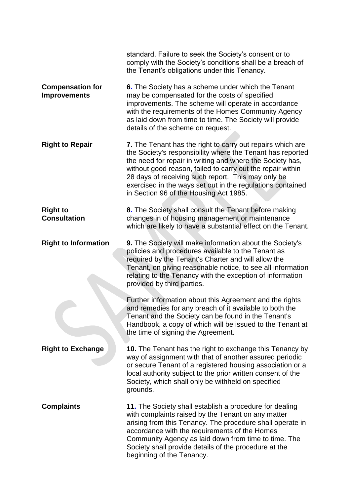|                                                | standard. Failure to seek the Society's consent or to<br>comply with the Society's conditions shall be a breach of<br>the Tenant's obligations under this Tenancy.                                                                                                                                                                                                                                                |
|------------------------------------------------|-------------------------------------------------------------------------------------------------------------------------------------------------------------------------------------------------------------------------------------------------------------------------------------------------------------------------------------------------------------------------------------------------------------------|
| <b>Compensation for</b><br><b>Improvements</b> | 6. The Society has a scheme under which the Tenant<br>may be compensated for the costs of specified<br>improvements. The scheme will operate in accordance<br>with the requirements of the Homes Community Agency<br>as laid down from time to time. The Society will provide<br>details of the scheme on request.                                                                                                |
| <b>Right to Repair</b>                         | 7. The Tenant has the right to carry out repairs which are<br>the Society's responsibility where the Tenant has reported<br>the need for repair in writing and where the Society has,<br>without good reason, failed to carry out the repair within<br>28 days of receiving such report. This may only be<br>exercised in the ways set out in the regulations contained<br>in Section 96 of the Housing Act 1985. |
| <b>Right to</b><br><b>Consultation</b>         | 8. The Society shall consult the Tenant before making<br>changes in of housing management or maintenance<br>which are likely to have a substantial effect on the Tenant.                                                                                                                                                                                                                                          |
| <b>Right to Information</b>                    | <b>9.</b> The Society will make information about the Society's<br>policies and procedures available to the Tenant as<br>required by the Tenant's Charter and will allow the<br>Tenant, on giving reasonable notice, to see all information<br>relating to the Tenancy with the exception of information<br>provided by third parties.                                                                            |
|                                                | Further information about this Agreement and the rights<br>and remedies for any breach of it available to both the<br>Tenant and the Society can be found in the Tenant's<br>Handbook, a copy of which will be issued to the Tenant at<br>the time of signing the Agreement.                                                                                                                                      |
| <b>Right to Exchange</b>                       | <b>10.</b> The Tenant has the right to exchange this Tenancy by<br>way of assignment with that of another assured periodic<br>or secure Tenant of a registered housing association or a<br>local authority subject to the prior written consent of the<br>Society, which shall only be withheld on specified<br>grounds.                                                                                          |
| <b>Complaints</b>                              | 11. The Society shall establish a procedure for dealing<br>with complaints raised by the Tenant on any matter<br>arising from this Tenancy. The procedure shall operate in<br>accordance with the requirements of the Homes<br>Community Agency as laid down from time to time. The<br>Society shall provide details of the procedure at the<br>beginning of the Tenancy.                                         |